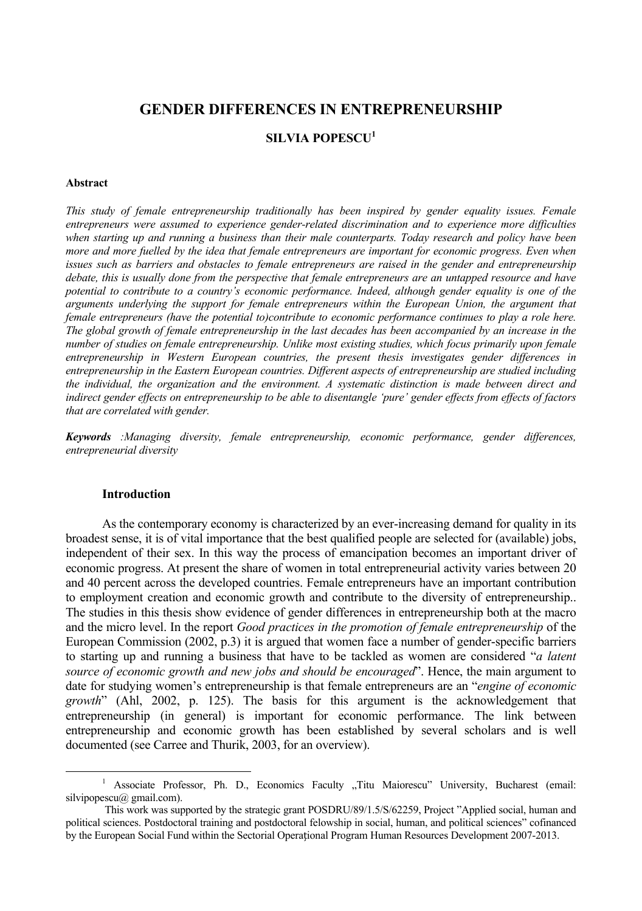# **GENDER DIFFERENCES IN ENTREPRENEURSHIP**

#### **SILVIA POPESCU<sup>1</sup>**

#### **Abstract**

*This study of female entrepreneurship traditionally has been inspired by gender equality issues. Female entrepreneurs were assumed to experience gender-related discrimination and to experience more difficulties when starting up and running a business than their male counterparts. Today research and policy have been more and more fuelled by the idea that female entrepreneurs are important for economic progress. Even when issues such as barriers and obstacles to female entrepreneurs are raised in the gender and entrepreneurship debate, this is usually done from the perspective that female entrepreneurs are an untapped resource and have potential to contribute to a country's economic performance. Indeed, although gender equality is one of the arguments underlying the support for female entrepreneurs within the European Union, the argument that female entrepreneurs (have the potential to)contribute to economic performance continues to play a role here. The global growth of female entrepreneurship in the last decades has been accompanied by an increase in the number of studies on female entrepreneurship. Unlike most existing studies, which focus primarily upon female entrepreneurship in Western European countries, the present thesis investigates gender differences in entrepreneurship in the Eastern European countries. Different aspects of entrepreneurship are studied including the individual, the organization and the environment. A systematic distinction is made between direct and indirect gender effects on entrepreneurship to be able to disentangle 'pure' gender effects from effects of factors that are correlated with gender.*

*Keywords :Managing diversity, female entrepreneurship, economic performance, gender differences, entrepreneurial diversity* 

#### **Introduction**

As the contemporary economy is characterized by an ever-increasing demand for quality in its broadest sense, it is of vital importance that the best qualified people are selected for (available) jobs, independent of their sex. In this way the process of emancipation becomes an important driver of economic progress. At present the share of women in total entrepreneurial activity varies between 20 and 40 percent across the developed countries. Female entrepreneurs have an important contribution to employment creation and economic growth and contribute to the diversity of entrepreneurship.. The studies in this thesis show evidence of gender differences in entrepreneurship both at the macro and the micro level. In the report *Good practices in the promotion of female entrepreneurship* of the European Commission (2002, p.3) it is argued that women face a number of gender-specific barriers to starting up and running a business that have to be tackled as women are considered "*a latent source of economic growth and new jobs and should be encouraged*". Hence, the main argument to date for studying women's entrepreneurship is that female entrepreneurs are an "*engine of economic growth*" (Ahl, 2002, p. 125). The basis for this argument is the acknowledgement that entrepreneurship (in general) is important for economic performance. The link between entrepreneurship and economic growth has been established by several scholars and is well documented (see Carree and Thurik, 2003, for an overview).

 $\frac{1}{1}$ <sup>1</sup> Associate Professor, Ph. D., Economics Faculty "Titu Maiorescu" University, Bucharest (email: silvipopescu $(a)$  gmail.com).

This work was supported by the strategic grant POSDRU/89/1.5/S/62259, Project "Applied social, human and political sciences. Postdoctoral training and postdoctoral felowship in social, human, and political sciences" cofinanced by the European Social Fund within the Sectorial Operațional Program Human Resources Development 2007-2013.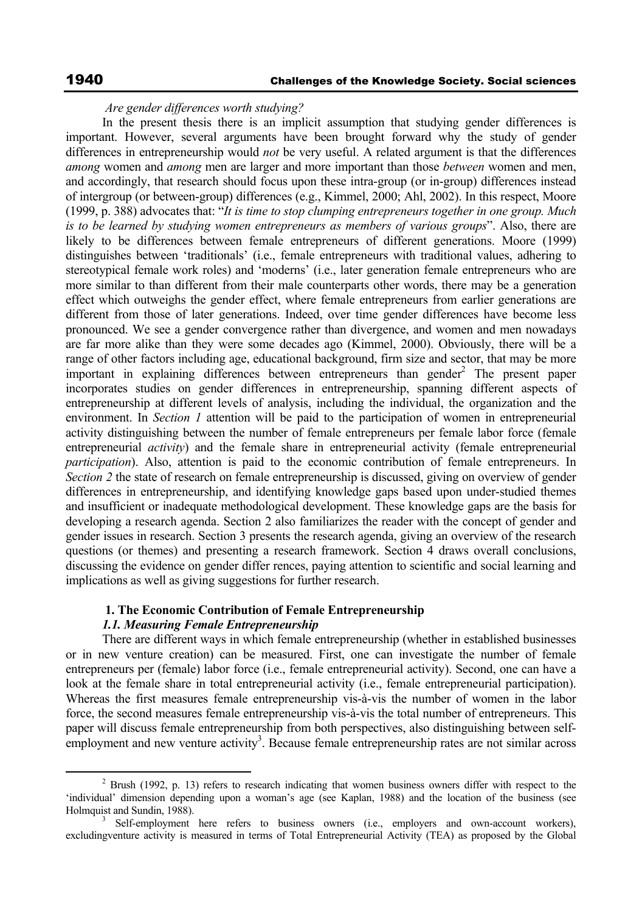#### *Are gender differences worth studying?*

In the present thesis there is an implicit assumption that studying gender differences is important. However, several arguments have been brought forward why the study of gender differences in entrepreneurship would *not* be very useful. A related argument is that the differences *among* women and *among* men are larger and more important than those *between* women and men, and accordingly, that research should focus upon these intra-group (or in-group) differences instead of intergroup (or between-group) differences (e.g., Kimmel, 2000; Ahl, 2002). In this respect, Moore (1999, p. 388) advocates that: "*It is time to stop clumping entrepreneurs together in one group. Much is to be learned by studying women entrepreneurs as members of various groups*". Also, there are likely to be differences between female entrepreneurs of different generations. Moore (1999) distinguishes between 'traditionals' (i.e., female entrepreneurs with traditional values, adhering to stereotypical female work roles) and 'moderns' (i.e., later generation female entrepreneurs who are more similar to than different from their male counterparts other words, there may be a generation effect which outweighs the gender effect, where female entrepreneurs from earlier generations are different from those of later generations. Indeed, over time gender differences have become less pronounced. We see a gender convergence rather than divergence, and women and men nowadays are far more alike than they were some decades ago (Kimmel, 2000). Obviously, there will be a range of other factors including age, educational background, firm size and sector, that may be more important in explaining differences between entrepreneurs than gender<sup>2</sup> The present paper incorporates studies on gender differences in entrepreneurship, spanning different aspects of entrepreneurship at different levels of analysis, including the individual, the organization and the environment. In *Section 1* attention will be paid to the participation of women in entrepreneurial activity distinguishing between the number of female entrepreneurs per female labor force (female entrepreneurial *activity*) and the female share in entrepreneurial activity (female entrepreneurial *participation*). Also, attention is paid to the economic contribution of female entrepreneurs. In *Section 2* the state of research on female entrepreneurship is discussed, giving on overview of gender differences in entrepreneurship, and identifying knowledge gaps based upon under-studied themes and insufficient or inadequate methodological development. These knowledge gaps are the basis for developing a research agenda. Section 2 also familiarizes the reader with the concept of gender and gender issues in research. Section 3 presents the research agenda, giving an overview of the research questions (or themes) and presenting a research framework. Section 4 draws overall conclusions, discussing the evidence on gender differ rences, paying attention to scientific and social learning and implications as well as giving suggestions for further research.

# **1. The Economic Contribution of Female Entrepreneurship**

### *1.1. Measuring Female Entrepreneurship*

There are different ways in which female entrepreneurship (whether in established businesses or in new venture creation) can be measured. First, one can investigate the number of female entrepreneurs per (female) labor force (i.e., female entrepreneurial activity). Second, one can have a look at the female share in total entrepreneurial activity (i.e., female entrepreneurial participation). Whereas the first measures female entrepreneurship vis-à-vis the number of women in the labor force, the second measures female entrepreneurship vis-à-vis the total number of entrepreneurs. This paper will discuss female entrepreneurship from both perspectives, also distinguishing between selfemployment and new venture activity<sup>3</sup>. Because female entrepreneurship rates are not similar across

 $\overline{\phantom{a}}$ <sup>2</sup> Brush (1992, p. 13) refers to research indicating that women business owners differ with respect to the 'individual' dimension depending upon a woman's age (see Kaplan, 1988) and the location of the business (see Holmquist and Sundin, 1988).

Self-employment here refers to business owners (i.e., employers and own-account workers), excludingventure activity is measured in terms of Total Entrepreneurial Activity (TEA) as proposed by the Global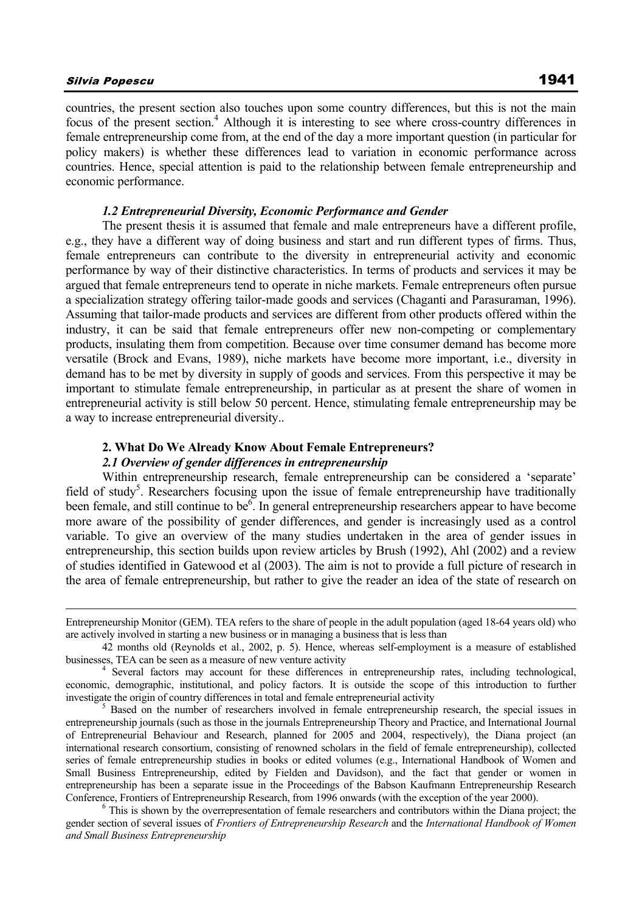countries, the present section also touches upon some country differences, but this is not the main focus of the present section.<sup>4</sup> Although it is interesting to see where cross-country differences in female entrepreneurship come from, at the end of the day a more important question (in particular for policy makers) is whether these differences lead to variation in economic performance across countries. Hence, special attention is paid to the relationship between female entrepreneurship and economic performance.

#### *1.2 Entrepreneurial Diversity, Economic Performance and Gender*

The present thesis it is assumed that female and male entrepreneurs have a different profile, e.g., they have a different way of doing business and start and run different types of firms. Thus, female entrepreneurs can contribute to the diversity in entrepreneurial activity and economic performance by way of their distinctive characteristics. In terms of products and services it may be argued that female entrepreneurs tend to operate in niche markets. Female entrepreneurs often pursue a specialization strategy offering tailor-made goods and services (Chaganti and Parasuraman, 1996). Assuming that tailor-made products and services are different from other products offered within the industry, it can be said that female entrepreneurs offer new non-competing or complementary products, insulating them from competition. Because over time consumer demand has become more versatile (Brock and Evans, 1989), niche markets have become more important, i.e., diversity in demand has to be met by diversity in supply of goods and services. From this perspective it may be important to stimulate female entrepreneurship, in particular as at present the share of women in entrepreneurial activity is still below 50 percent. Hence, stimulating female entrepreneurship may be a way to increase entrepreneurial diversity..

#### **2. What Do We Already Know About Female Entrepreneurs?**

#### *2.1 Overview of gender differences in entrepreneurship*

Within entrepreneurship research, female entrepreneurship can be considered a 'separate' field of study<sup>5</sup>. Researchers focusing upon the issue of female entrepreneurship have traditionally been female, and still continue to be $\overline{6}$ . In general entrepreneurship researchers appear to have become more aware of the possibility of gender differences, and gender is increasingly used as a control variable. To give an overview of the many studies undertaken in the area of gender issues in entrepreneurship, this section builds upon review articles by Brush (1992), Ahl (2002) and a review of studies identified in Gatewood et al (2003). The aim is not to provide a full picture of research in the area of female entrepreneurship, but rather to give the reader an idea of the state of research on

<sup>5</sup> Based on the number of researchers involved in female entrepreneurship research, the special issues in entrepreneurship journals (such as those in the journals Entrepreneurship Theory and Practice, and International Journal of Entrepreneurial Behaviour and Research, planned for 2005 and 2004, respectively), the Diana project (an international research consortium, consisting of renowned scholars in the field of female entrepreneurship), collected series of female entrepreneurship studies in books or edited volumes (e.g., International Handbook of Women and Small Business Entrepreneurship, edited by Fielden and Davidson), and the fact that gender or women in entrepreneurship has been a separate issue in the Proceedings of the Babson Kaufmann Entrepreneurship Research Conference, Frontiers of Entrepreneurship Research, from 1996 onwards (with the exception of the year 2000).

<sup>6</sup> This is shown by the overrepresentation of female researchers and contributors within the Diana project; the gender section of several issues of *Frontiers of Entrepreneurship Research* and the *International Handbook of Women and Small Business Entrepreneurship*

Entrepreneurship Monitor (GEM). TEA refers to the share of people in the adult population (aged 18-64 years old) who are actively involved in starting a new business or in managing a business that is less than

<sup>42</sup> months old (Reynolds et al., 2002, p. 5). Hence, whereas self-employment is a measure of established businesses, TEA can be seen as a measure of new venture activity 4

<sup>&</sup>lt;sup>4</sup> Several factors may account for these differences in entrepreneurship rates, including technological, economic, demographic, institutional, and policy factors. It is outside the scope of this introduction to further investigate the origin of country differences in total and female entrepreneurial activity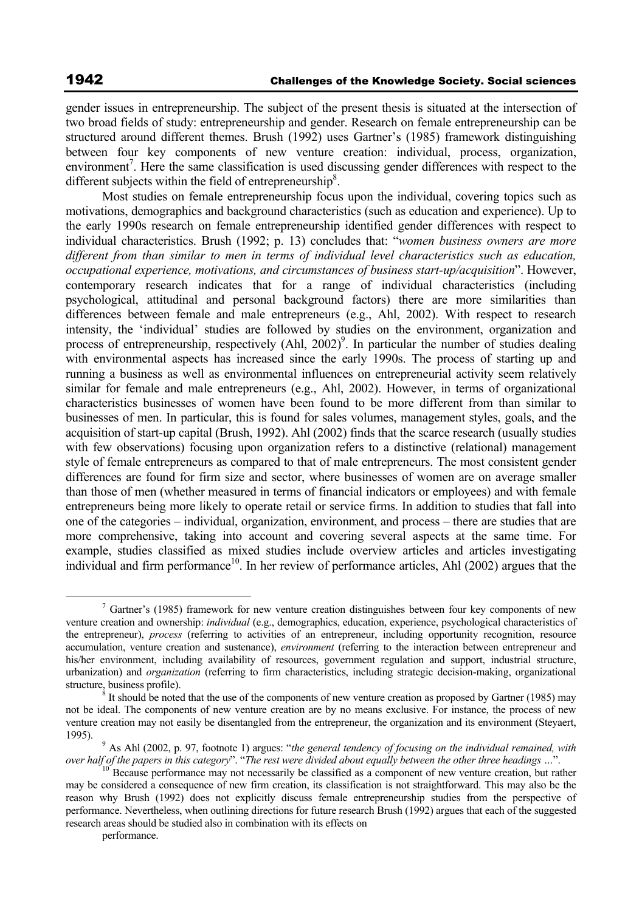gender issues in entrepreneurship. The subject of the present thesis is situated at the intersection of two broad fields of study: entrepreneurship and gender. Research on female entrepreneurship can be structured around different themes. Brush (1992) uses Gartner's (1985) framework distinguishing between four key components of new venture creation: individual, process, organization, environment<sup>7</sup>. Here the same classification is used discussing gender differences with respect to the different subjects within the field of entrepreneurship<sup>8</sup>.

Most studies on female entrepreneurship focus upon the individual, covering topics such as motivations, demographics and background characteristics (such as education and experience). Up to the early 1990s research on female entrepreneurship identified gender differences with respect to individual characteristics. Brush (1992; p. 13) concludes that: "*women business owners are more different from than similar to men in terms of individual level characteristics such as education, occupational experience, motivations, and circumstances of business start-up/acquisition*". However, contemporary research indicates that for a range of individual characteristics (including psychological, attitudinal and personal background factors) there are more similarities than differences between female and male entrepreneurs (e.g., Ahl, 2002). With respect to research intensity, the 'individual' studies are followed by studies on the environment, organization and process of entrepreneurship, respectively (Ahl, 2002)<sup>9</sup>. In particular the number of studies dealing with environmental aspects has increased since the early 1990s. The process of starting up and running a business as well as environmental influences on entrepreneurial activity seem relatively similar for female and male entrepreneurs (e.g., Ahl, 2002). However, in terms of organizational characteristics businesses of women have been found to be more different from than similar to businesses of men. In particular, this is found for sales volumes, management styles, goals, and the acquisition of start-up capital (Brush, 1992). Ahl (2002) finds that the scarce research (usually studies with few observations) focusing upon organization refers to a distinctive (relational) management style of female entrepreneurs as compared to that of male entrepreneurs. The most consistent gender differences are found for firm size and sector, where businesses of women are on average smaller than those of men (whether measured in terms of financial indicators or employees) and with female entrepreneurs being more likely to operate retail or service firms. In addition to studies that fall into one of the categories – individual, organization, environment, and process – there are studies that are more comprehensive, taking into account and covering several aspects at the same time. For example, studies classified as mixed studies include overview articles and articles investigating individual and firm performance<sup>10</sup>. In her review of performance articles, Ahl (2002) argues that the

performance.

 <sup>7</sup>  $\frac{7}{1}$  Gartner's (1985) framework for new venture creation distinguishes between four key components of new venture creation and ownership: *individual* (e.g., demographics, education, experience, psychological characteristics of the entrepreneur), *process* (referring to activities of an entrepreneur, including opportunity recognition, resource accumulation, venture creation and sustenance), *environment* (referring to the interaction between entrepreneur and his/her environment, including availability of resources, government regulation and support, industrial structure, urbanization) and *organization* (referring to firm characteristics, including strategic decision-making, organizational structure, business profile).

 $8$  It should be noted that the use of the components of new venture creation as proposed by Gartner (1985) may not be ideal. The components of new venture creation are by no means exclusive. For instance, the process of new venture creation may not easily be disentangled from the entrepreneur, the organization and its environment (Steyaert, 1995).

<sup>&</sup>lt;sup>9</sup> As Ahl (2002, p. 97, footnote 1) argues: "*the general tendency of focusing on the individual remained, with over half of the papers in this category*". "*The rest were divided about equally between the other three hea* 

<sup>&</sup>lt;sup>10</sup> Because performance may not necessarily be classified as a component of new venture creation, but rather may be considered a consequence of new firm creation, its classification is not straightforward. This may also be the reason why Brush (1992) does not explicitly discuss female entrepreneurship studies from the perspective of performance. Nevertheless, when outlining directions for future research Brush (1992) argues that each of the suggested research areas should be studied also in combination with its effects on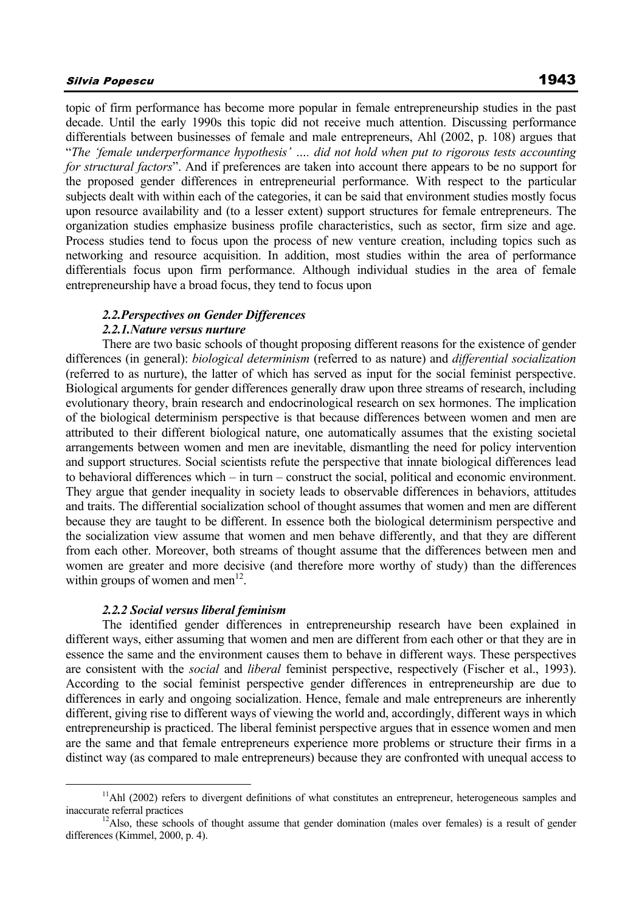topic of firm performance has become more popular in female entrepreneurship studies in the past decade. Until the early 1990s this topic did not receive much attention. Discussing performance differentials between businesses of female and male entrepreneurs, Ahl (2002, p. 108) argues that "*The 'female underperformance hypothesis' …. did not hold when put to rigorous tests accounting for structural factors*". And if preferences are taken into account there appears to be no support for the proposed gender differences in entrepreneurial performance. With respect to the particular subjects dealt with within each of the categories, it can be said that environment studies mostly focus upon resource availability and (to a lesser extent) support structures for female entrepreneurs. The organization studies emphasize business profile characteristics, such as sector, firm size and age. Process studies tend to focus upon the process of new venture creation, including topics such as networking and resource acquisition. In addition, most studies within the area of performance differentials focus upon firm performance. Although individual studies in the area of female entrepreneurship have a broad focus, they tend to focus upon

# *2.2.Perspectives on Gender Differences*

# *2.2.1.Nature versus nurture*

There are two basic schools of thought proposing different reasons for the existence of gender differences (in general): *biological determinism* (referred to as nature) and *differential socialization*  (referred to as nurture), the latter of which has served as input for the social feminist perspective. Biological arguments for gender differences generally draw upon three streams of research, including evolutionary theory, brain research and endocrinological research on sex hormones. The implication of the biological determinism perspective is that because differences between women and men are attributed to their different biological nature, one automatically assumes that the existing societal arrangements between women and men are inevitable, dismantling the need for policy intervention and support structures. Social scientists refute the perspective that innate biological differences lead to behavioral differences which – in turn – construct the social, political and economic environment. They argue that gender inequality in society leads to observable differences in behaviors, attitudes and traits. The differential socialization school of thought assumes that women and men are different because they are taught to be different. In essence both the biological determinism perspective and the socialization view assume that women and men behave differently, and that they are different from each other. Moreover, both streams of thought assume that the differences between men and women are greater and more decisive (and therefore more worthy of study) than the differences within groups of women and men<sup>12</sup>.

#### *2.2.2 Social versus liberal feminism*

The identified gender differences in entrepreneurship research have been explained in different ways, either assuming that women and men are different from each other or that they are in essence the same and the environment causes them to behave in different ways. These perspectives are consistent with the *social* and *liberal* feminist perspective, respectively (Fischer et al., 1993). According to the social feminist perspective gender differences in entrepreneurship are due to differences in early and ongoing socialization. Hence, female and male entrepreneurs are inherently different, giving rise to different ways of viewing the world and, accordingly, different ways in which entrepreneurship is practiced. The liberal feminist perspective argues that in essence women and men are the same and that female entrepreneurs experience more problems or structure their firms in a distinct way (as compared to male entrepreneurs) because they are confronted with unequal access to

<sup>&</sup>lt;sup>11</sup>Ahl (2002) refers to divergent definitions of what constitutes an entrepreneur, heterogeneous samples and inaccurate referral practices <sup>12</sup>Also, these schools of thought assume that gender domination (males over females) is a result of gender

differences (Kimmel, 2000, p. 4).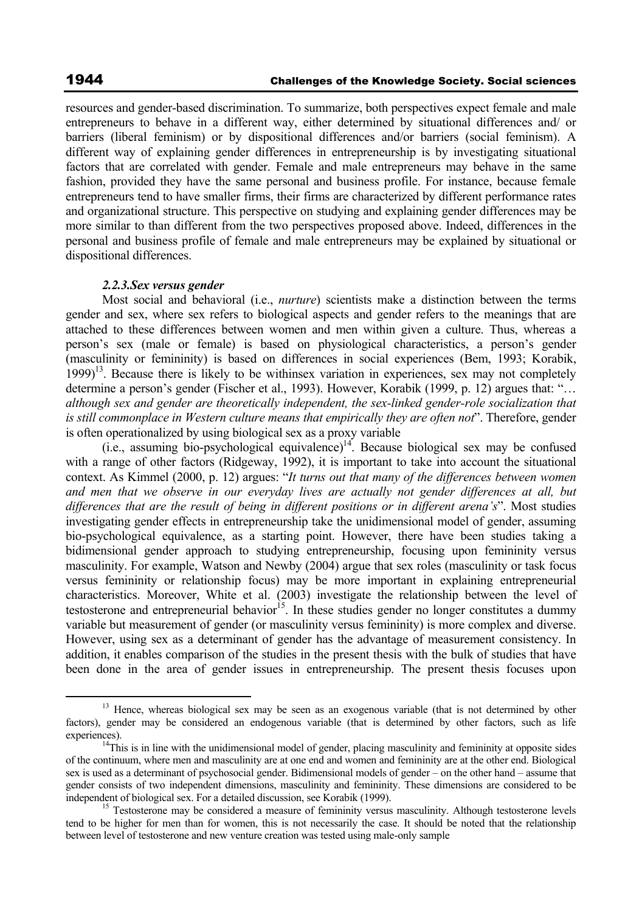resources and gender-based discrimination. To summarize, both perspectives expect female and male entrepreneurs to behave in a different way, either determined by situational differences and/ or barriers (liberal feminism) or by dispositional differences and/or barriers (social feminism). A different way of explaining gender differences in entrepreneurship is by investigating situational factors that are correlated with gender. Female and male entrepreneurs may behave in the same fashion, provided they have the same personal and business profile. For instance, because female entrepreneurs tend to have smaller firms, their firms are characterized by different performance rates and organizational structure. This perspective on studying and explaining gender differences may be more similar to than different from the two perspectives proposed above. Indeed, differences in the personal and business profile of female and male entrepreneurs may be explained by situational or dispositional differences.

#### *2.2.3.Sex versus gender*

Most social and behavioral (i.e., *nurture*) scientists make a distinction between the terms gender and sex, where sex refers to biological aspects and gender refers to the meanings that are attached to these differences between women and men within given a culture. Thus, whereas a person's sex (male or female) is based on physiological characteristics, a person's gender (masculinity or femininity) is based on differences in social experiences (Bem, 1993; Korabik,  $1999$ <sup>13</sup>. Because there is likely to be withinsex variation in experiences, sex may not completely determine a person's gender (Fischer et al., 1993). However, Korabik (1999, p. 12) argues that: "… *although sex and gender are theoretically independent, the sex-linked gender-role socialization that is still commonplace in Western culture means that empirically they are often not*". Therefore, gender is often operationalized by using biological sex as a proxy variable

(i.e., assuming bio-psychological equivalence)<sup>14</sup>. Because biological sex may be confused with a range of other factors (Ridgeway, 1992), it is important to take into account the situational context. As Kimmel (2000, p. 12) argues: "*It turns out that many of the differences between women and men that we observe in our everyday lives are actually not gender differences at all, but differences that are the result of being in different positions or in different arena's*". Most studies investigating gender effects in entrepreneurship take the unidimensional model of gender, assuming bio-psychological equivalence, as a starting point. However, there have been studies taking a bidimensional gender approach to studying entrepreneurship, focusing upon femininity versus masculinity. For example, Watson and Newby (2004) argue that sex roles (masculinity or task focus versus femininity or relationship focus) may be more important in explaining entrepreneurial characteristics. Moreover, White et al. (2003) investigate the relationship between the level of testosterone and entrepreneurial behavior<sup>15</sup>. In these studies gender no longer constitutes a dummy variable but measurement of gender (or masculinity versus femininity) is more complex and diverse. However, using sex as a determinant of gender has the advantage of measurement consistency. In addition, it enables comparison of the studies in the present thesis with the bulk of studies that have been done in the area of gender issues in entrepreneurship. The present thesis focuses upon

<sup>&</sup>lt;sup>13</sup> Hence, whereas biological sex may be seen as an exogenous variable (that is not determined by other factors), gender may be considered an endogenous variable (that is determined by other factors, such as life experiences). <sup>14</sup>This is in line with the unidimensional model of gender, placing masculinity and femininity at opposite sides

of the continuum, where men and masculinity are at one end and women and femininity are at the other end. Biological sex is used as a determinant of psychosocial gender. Bidimensional models of gender – on the other hand – assume that gender consists of two independent dimensions, masculinity and femininity. These dimensions are considered to be independent of biological sex. For a detailed discussion, see Korabik (1999).<br><sup>15</sup> Testosterone may be considered a measure of femininity versus masculinity. Although testosterone levels

tend to be higher for men than for women, this is not necessarily the case. It should be noted that the relationship between level of testosterone and new venture creation was tested using male-only sample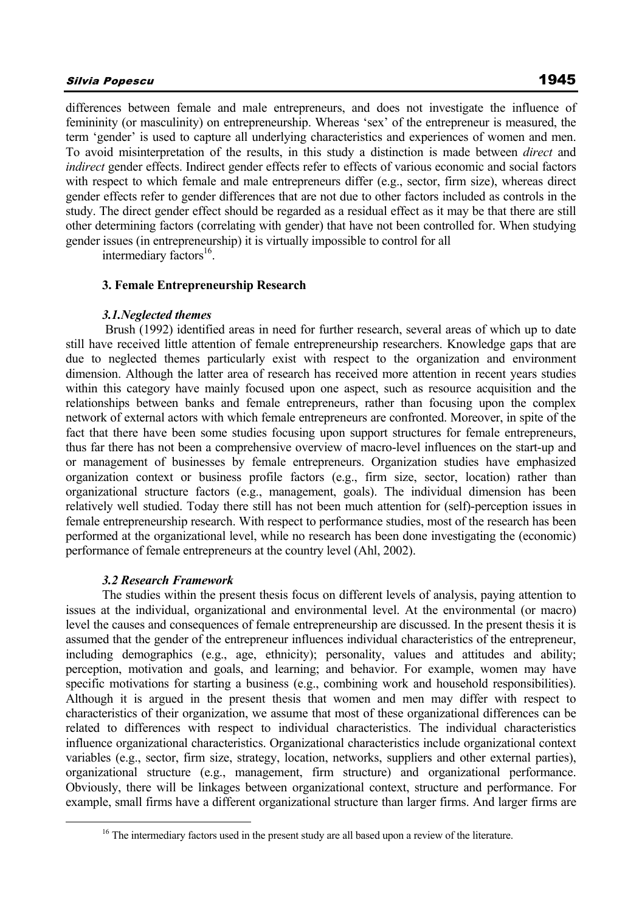differences between female and male entrepreneurs, and does not investigate the influence of femininity (or masculinity) on entrepreneurship. Whereas 'sex' of the entrepreneur is measured, the term 'gender' is used to capture all underlying characteristics and experiences of women and men. To avoid misinterpretation of the results, in this study a distinction is made between *direct* and *indirect* gender effects. Indirect gender effects refer to effects of various economic and social factors with respect to which female and male entrepreneurs differ (e.g., sector, firm size), whereas direct gender effects refer to gender differences that are not due to other factors included as controls in the study. The direct gender effect should be regarded as a residual effect as it may be that there are still other determining factors (correlating with gender) that have not been controlled for. When studying gender issues (in entrepreneurship) it is virtually impossible to control for all

intermediary factors $^{16}$ .

#### **3. Female Entrepreneurship Research**

#### *3.1.Neglected themes*

 Brush (1992) identified areas in need for further research, several areas of which up to date still have received little attention of female entrepreneurship researchers. Knowledge gaps that are due to neglected themes particularly exist with respect to the organization and environment dimension. Although the latter area of research has received more attention in recent years studies within this category have mainly focused upon one aspect, such as resource acquisition and the relationships between banks and female entrepreneurs, rather than focusing upon the complex network of external actors with which female entrepreneurs are confronted. Moreover, in spite of the fact that there have been some studies focusing upon support structures for female entrepreneurs, thus far there has not been a comprehensive overview of macro-level influences on the start-up and or management of businesses by female entrepreneurs. Organization studies have emphasized organization context or business profile factors (e.g., firm size, sector, location) rather than organizational structure factors (e.g., management, goals). The individual dimension has been relatively well studied. Today there still has not been much attention for (self)-perception issues in female entrepreneurship research. With respect to performance studies, most of the research has been performed at the organizational level, while no research has been done investigating the (economic) performance of female entrepreneurs at the country level (Ahl, 2002).

#### *3.2 Research Framework*

The studies within the present thesis focus on different levels of analysis, paying attention to issues at the individual, organizational and environmental level. At the environmental (or macro) level the causes and consequences of female entrepreneurship are discussed. In the present thesis it is assumed that the gender of the entrepreneur influences individual characteristics of the entrepreneur, including demographics (e.g., age, ethnicity); personality, values and attitudes and ability; perception, motivation and goals, and learning; and behavior. For example, women may have specific motivations for starting a business (e.g., combining work and household responsibilities). Although it is argued in the present thesis that women and men may differ with respect to characteristics of their organization, we assume that most of these organizational differences can be related to differences with respect to individual characteristics. The individual characteristics influence organizational characteristics. Organizational characteristics include organizational context variables (e.g., sector, firm size, strategy, location, networks, suppliers and other external parties), organizational structure (e.g., management, firm structure) and organizational performance. Obviously, there will be linkages between organizational context, structure and performance. For example, small firms have a different organizational structure than larger firms. And larger firms are

<sup>&</sup>lt;sup>16</sup> The intermediary factors used in the present study are all based upon a review of the literature.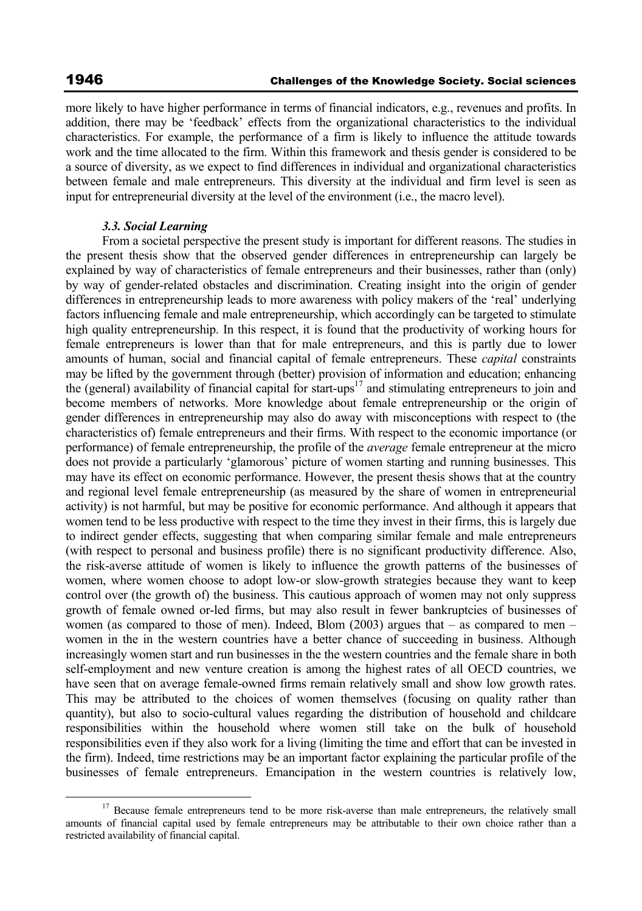more likely to have higher performance in terms of financial indicators, e.g., revenues and profits. In addition, there may be 'feedback' effects from the organizational characteristics to the individual characteristics. For example, the performance of a firm is likely to influence the attitude towards work and the time allocated to the firm. Within this framework and thesis gender is considered to be a source of diversity, as we expect to find differences in individual and organizational characteristics between female and male entrepreneurs. This diversity at the individual and firm level is seen as input for entrepreneurial diversity at the level of the environment (i.e., the macro level).

## *3.3. Social Learning*

From a societal perspective the present study is important for different reasons. The studies in the present thesis show that the observed gender differences in entrepreneurship can largely be explained by way of characteristics of female entrepreneurs and their businesses, rather than (only) by way of gender-related obstacles and discrimination. Creating insight into the origin of gender differences in entrepreneurship leads to more awareness with policy makers of the 'real' underlying factors influencing female and male entrepreneurship, which accordingly can be targeted to stimulate high quality entrepreneurship. In this respect, it is found that the productivity of working hours for female entrepreneurs is lower than that for male entrepreneurs, and this is partly due to lower amounts of human, social and financial capital of female entrepreneurs. These *capital* constraints may be lifted by the government through (better) provision of information and education; enhancing the (general) availability of financial capital for start-ups<sup>17</sup> and stimulating entrepreneurs to join and become members of networks. More knowledge about female entrepreneurship or the origin of gender differences in entrepreneurship may also do away with misconceptions with respect to (the characteristics of) female entrepreneurs and their firms. With respect to the economic importance (or performance) of female entrepreneurship, the profile of the *average* female entrepreneur at the micro does not provide a particularly 'glamorous' picture of women starting and running businesses. This may have its effect on economic performance. However, the present thesis shows that at the country and regional level female entrepreneurship (as measured by the share of women in entrepreneurial activity) is not harmful, but may be positive for economic performance. And although it appears that women tend to be less productive with respect to the time they invest in their firms, this is largely due to indirect gender effects, suggesting that when comparing similar female and male entrepreneurs (with respect to personal and business profile) there is no significant productivity difference. Also, the risk-averse attitude of women is likely to influence the growth patterns of the businesses of women, where women choose to adopt low-or slow-growth strategies because they want to keep control over (the growth of) the business. This cautious approach of women may not only suppress growth of female owned or-led firms, but may also result in fewer bankruptcies of businesses of women (as compared to those of men). Indeed, Blom  $(2003)$  argues that – as compared to men – women in the in the western countries have a better chance of succeeding in business. Although increasingly women start and run businesses in the the western countries and the female share in both self-employment and new venture creation is among the highest rates of all OECD countries, we have seen that on average female-owned firms remain relatively small and show low growth rates. This may be attributed to the choices of women themselves (focusing on quality rather than quantity), but also to socio-cultural values regarding the distribution of household and childcare responsibilities within the household where women still take on the bulk of household responsibilities even if they also work for a living (limiting the time and effort that can be invested in the firm). Indeed, time restrictions may be an important factor explaining the particular profile of the businesses of female entrepreneurs. Emancipation in the western countries is relatively low,

<sup>&</sup>lt;sup>17</sup> Because female entrepreneurs tend to be more risk-averse than male entrepreneurs, the relatively small amounts of financial capital used by female entrepreneurs may be attributable to their own choice rather than a restricted availability of financial capital.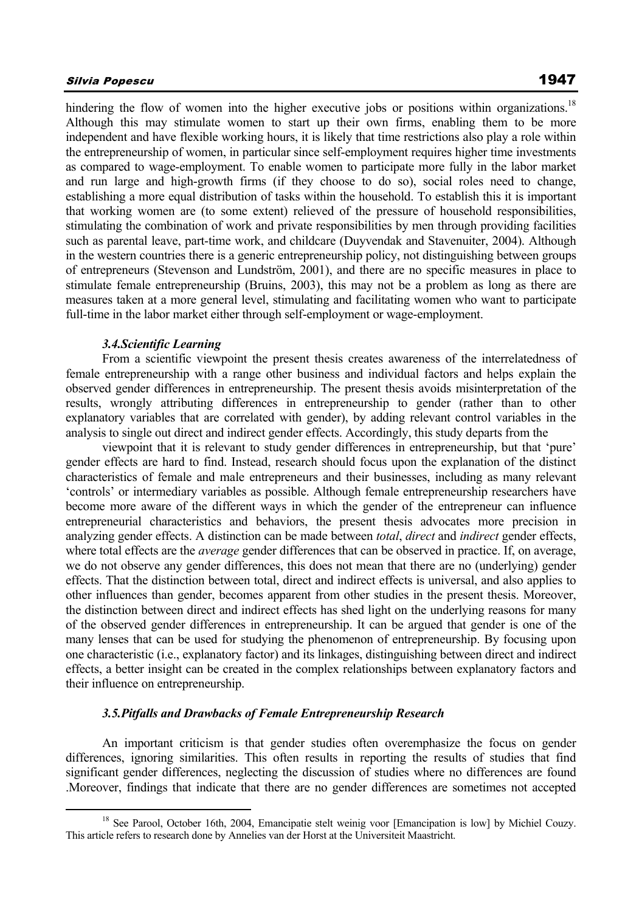hindering the flow of women into the higher executive jobs or positions within organizations.<sup>18</sup> Although this may stimulate women to start up their own firms, enabling them to be more independent and have flexible working hours, it is likely that time restrictions also play a role within the entrepreneurship of women, in particular since self-employment requires higher time investments as compared to wage-employment. To enable women to participate more fully in the labor market and run large and high-growth firms (if they choose to do so), social roles need to change, establishing a more equal distribution of tasks within the household. To establish this it is important that working women are (to some extent) relieved of the pressure of household responsibilities, stimulating the combination of work and private responsibilities by men through providing facilities such as parental leave, part-time work, and childcare (Duyvendak and Stavenuiter, 2004). Although in the western countries there is a generic entrepreneurship policy, not distinguishing between groups of entrepreneurs (Stevenson and Lundström, 2001), and there are no specific measures in place to stimulate female entrepreneurship (Bruins, 2003), this may not be a problem as long as there are measures taken at a more general level, stimulating and facilitating women who want to participate full-time in the labor market either through self-employment or wage-employment.

#### *3.4.Scientific Learning*

From a scientific viewpoint the present thesis creates awareness of the interrelatedness of female entrepreneurship with a range other business and individual factors and helps explain the observed gender differences in entrepreneurship. The present thesis avoids misinterpretation of the results, wrongly attributing differences in entrepreneurship to gender (rather than to other explanatory variables that are correlated with gender), by adding relevant control variables in the analysis to single out direct and indirect gender effects. Accordingly, this study departs from the

viewpoint that it is relevant to study gender differences in entrepreneurship, but that 'pure' gender effects are hard to find. Instead, research should focus upon the explanation of the distinct characteristics of female and male entrepreneurs and their businesses, including as many relevant 'controls' or intermediary variables as possible. Although female entrepreneurship researchers have become more aware of the different ways in which the gender of the entrepreneur can influence entrepreneurial characteristics and behaviors, the present thesis advocates more precision in analyzing gender effects. A distinction can be made between *total*, *direct* and *indirect* gender effects, where total effects are the *average* gender differences that can be observed in practice. If, on average, we do not observe any gender differences, this does not mean that there are no (underlying) gender effects. That the distinction between total, direct and indirect effects is universal, and also applies to other influences than gender, becomes apparent from other studies in the present thesis. Moreover, the distinction between direct and indirect effects has shed light on the underlying reasons for many of the observed gender differences in entrepreneurship. It can be argued that gender is one of the many lenses that can be used for studying the phenomenon of entrepreneurship. By focusing upon one characteristic (i.e., explanatory factor) and its linkages, distinguishing between direct and indirect effects, a better insight can be created in the complex relationships between explanatory factors and their influence on entrepreneurship.

#### *3.5.Pitfalls and Drawbacks of Female Entrepreneurship Research*

An important criticism is that gender studies often overemphasize the focus on gender differences, ignoring similarities. This often results in reporting the results of studies that find significant gender differences, neglecting the discussion of studies where no differences are found .Moreover, findings that indicate that there are no gender differences are sometimes not accepted

<sup>&</sup>lt;sup>18</sup> See Parool, October 16th, 2004, Emancipatie stelt weinig voor [Emancipation is low] by Michiel Couzy. This article refers to research done by Annelies van der Horst at the Universiteit Maastricht.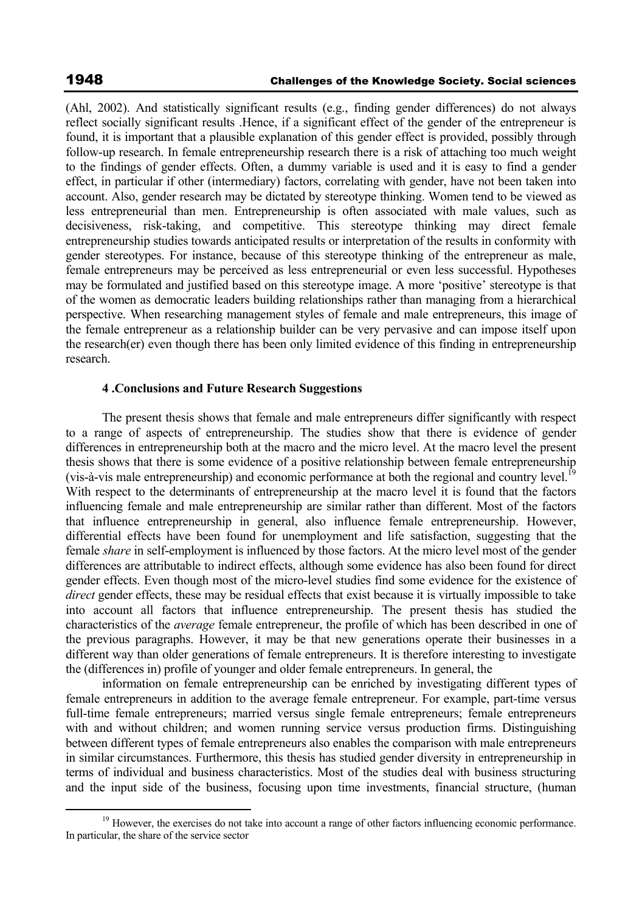(Ahl, 2002). And statistically significant results (e.g., finding gender differences) do not always reflect socially significant results .Hence, if a significant effect of the gender of the entrepreneur is found, it is important that a plausible explanation of this gender effect is provided, possibly through follow-up research. In female entrepreneurship research there is a risk of attaching too much weight to the findings of gender effects. Often, a dummy variable is used and it is easy to find a gender effect, in particular if other (intermediary) factors, correlating with gender, have not been taken into account. Also, gender research may be dictated by stereotype thinking. Women tend to be viewed as less entrepreneurial than men. Entrepreneurship is often associated with male values, such as decisiveness, risk-taking, and competitive. This stereotype thinking may direct female entrepreneurship studies towards anticipated results or interpretation of the results in conformity with gender stereotypes. For instance, because of this stereotype thinking of the entrepreneur as male, female entrepreneurs may be perceived as less entrepreneurial or even less successful. Hypotheses may be formulated and justified based on this stereotype image. A more 'positive' stereotype is that of the women as democratic leaders building relationships rather than managing from a hierarchical perspective. When researching management styles of female and male entrepreneurs, this image of the female entrepreneur as a relationship builder can be very pervasive and can impose itself upon the research(er) even though there has been only limited evidence of this finding in entrepreneurship research.

#### **4 .Conclusions and Future Research Suggestions**

The present thesis shows that female and male entrepreneurs differ significantly with respect to a range of aspects of entrepreneurship. The studies show that there is evidence of gender differences in entrepreneurship both at the macro and the micro level. At the macro level the present thesis shows that there is some evidence of a positive relationship between female entrepreneurship (vis-à-vis male entrepreneurship) and economic performance at both the regional and country level.<sup>19</sup> With respect to the determinants of entrepreneurship at the macro level it is found that the factors influencing female and male entrepreneurship are similar rather than different. Most of the factors that influence entrepreneurship in general, also influence female entrepreneurship. However, differential effects have been found for unemployment and life satisfaction, suggesting that the female *share* in self-employment is influenced by those factors. At the micro level most of the gender differences are attributable to indirect effects, although some evidence has also been found for direct gender effects. Even though most of the micro-level studies find some evidence for the existence of *direct* gender effects, these may be residual effects that exist because it is virtually impossible to take into account all factors that influence entrepreneurship. The present thesis has studied the characteristics of the *average* female entrepreneur, the profile of which has been described in one of the previous paragraphs. However, it may be that new generations operate their businesses in a different way than older generations of female entrepreneurs. It is therefore interesting to investigate the (differences in) profile of younger and older female entrepreneurs. In general, the

information on female entrepreneurship can be enriched by investigating different types of female entrepreneurs in addition to the average female entrepreneur. For example, part-time versus full-time female entrepreneurs; married versus single female entrepreneurs; female entrepreneurs with and without children; and women running service versus production firms. Distinguishing between different types of female entrepreneurs also enables the comparison with male entrepreneurs in similar circumstances. Furthermore, this thesis has studied gender diversity in entrepreneurship in terms of individual and business characteristics. Most of the studies deal with business structuring and the input side of the business, focusing upon time investments, financial structure, (human

<sup>&</sup>lt;sup>19</sup> However, the exercises do not take into account a range of other factors influencing economic performance. In particular, the share of the service sector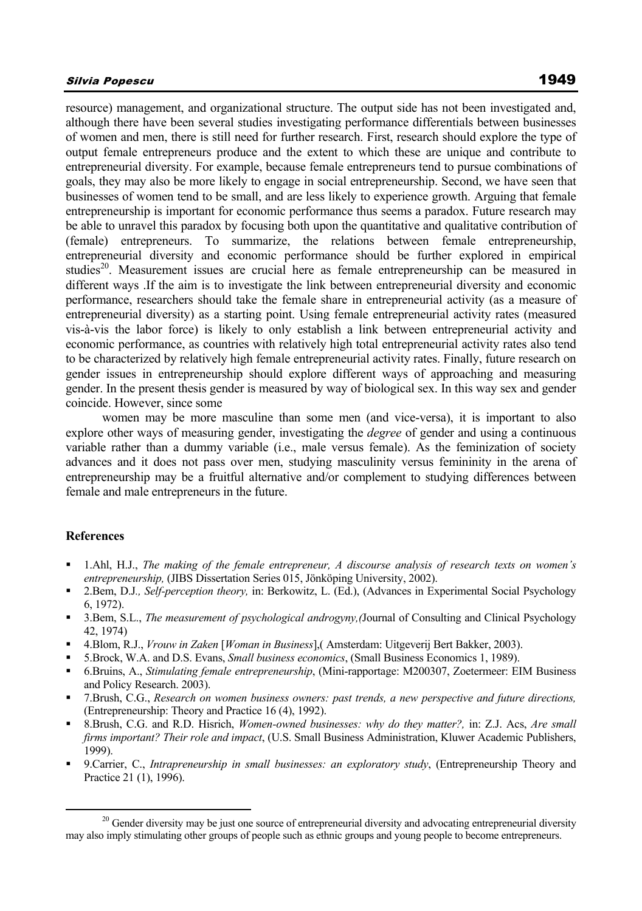resource) management, and organizational structure. The output side has not been investigated and, although there have been several studies investigating performance differentials between businesses of women and men, there is still need for further research. First, research should explore the type of output female entrepreneurs produce and the extent to which these are unique and contribute to entrepreneurial diversity. For example, because female entrepreneurs tend to pursue combinations of goals, they may also be more likely to engage in social entrepreneurship. Second, we have seen that businesses of women tend to be small, and are less likely to experience growth. Arguing that female entrepreneurship is important for economic performance thus seems a paradox. Future research may be able to unravel this paradox by focusing both upon the quantitative and qualitative contribution of (female) entrepreneurs. To summarize, the relations between female entrepreneurship, entrepreneurial diversity and economic performance should be further explored in empirical studies<sup>20</sup>. Measurement issues are crucial here as female entrepreneurship can be measured in different ways .If the aim is to investigate the link between entrepreneurial diversity and economic performance, researchers should take the female share in entrepreneurial activity (as a measure of entrepreneurial diversity) as a starting point. Using female entrepreneurial activity rates (measured vis-à-vis the labor force) is likely to only establish a link between entrepreneurial activity and economic performance, as countries with relatively high total entrepreneurial activity rates also tend to be characterized by relatively high female entrepreneurial activity rates. Finally, future research on gender issues in entrepreneurship should explore different ways of approaching and measuring gender. In the present thesis gender is measured by way of biological sex. In this way sex and gender coincide. However, since some

women may be more masculine than some men (and vice-versa), it is important to also explore other ways of measuring gender, investigating the *degree* of gender and using a continuous variable rather than a dummy variable (i.e., male versus female). As the feminization of society advances and it does not pass over men, studying masculinity versus femininity in the arena of entrepreneurship may be a fruitful alternative and/or complement to studying differences between female and male entrepreneurs in the future.

### **References**

- 1.Ahl, H.J., *The making of the female entrepreneur, A discourse analysis of research texts on women's entrepreneurship,* (JIBS Dissertation Series 015, Jönköping University, 2002).
- 2.Bem, D.J*., Self-perception theory,* in: Berkowitz, L. (Ed.), (Advances in Experimental Social Psychology 6, 1972).
- 3.Bem, S.L., *The measurement of psychological androgyny,(*Journal of Consulting and Clinical Psychology 42, 1974)
- 4.Blom, R.J., *Vrouw in Zaken* [*Woman in Business*],( Amsterdam: Uitgeverij Bert Bakker, 2003).
- 5.Brock, W.A. and D.S. Evans, *Small business economics*, (Small Business Economics 1, 1989).
- 6.Bruins, A., *Stimulating female entrepreneurship*, (Mini-rapportage: M200307, Zoetermeer: EIM Business and Policy Research. 2003).
- 7.Brush, C.G., *Research on women business owners: past trends, a new perspective and future directions,* (Entrepreneurship: Theory and Practice 16 (4), 1992).
- 8.Brush, C.G. and R.D. Hisrich, *Women-owned businesses: why do they matter?,* in: Z.J. Acs, *Are small firms important? Their role and impact*, (U.S. Small Business Administration, Kluwer Academic Publishers, 1999).
- 9.Carrier, C., *Intrapreneurship in small businesses: an exploratory study*, (Entrepreneurship Theory and Practice 21 (1), 1996).

<sup>&</sup>lt;sup>20</sup> Gender diversity may be just one source of entrepreneurial diversity and advocating entrepreneurial diversity may also imply stimulating other groups of people such as ethnic groups and young people to become entrepreneurs.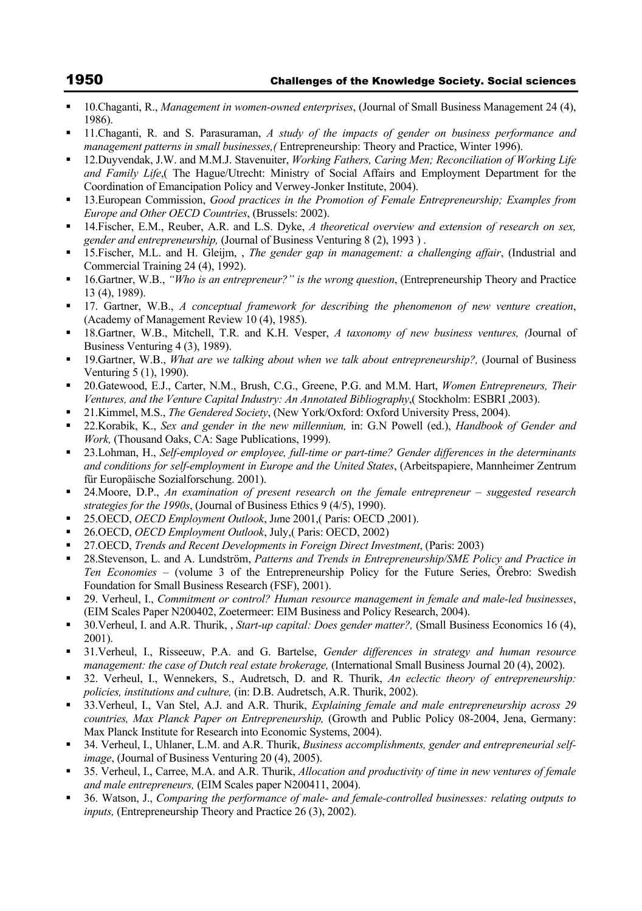- 10.Chaganti, R., *Management in women-owned enterprises*, (Journal of Small Business Management 24 (4), 1986).
- 11.Chaganti, R. and S. Parasuraman, *A study of the impacts of gender on business performance and management patterns in small businesses,(* Entrepreneurship: Theory and Practice, Winter 1996).
- 12.Duyvendak, J.W. and M.M.J. Stavenuiter, *Working Fathers, Caring Men; Reconciliation of Working Life and Family Life*,( The Hague/Utrecht: Ministry of Social Affairs and Employment Department for the Coordination of Emancipation Policy and Verwey-Jonker Institute, 2004).
- 13.European Commission, *Good practices in the Promotion of Female Entrepreneurship; Examples from Europe and Other OECD Countries*, (Brussels: 2002).
- 14.Fischer, E.M., Reuber, A.R. and L.S. Dyke, *A theoretical overview and extension of research on sex, gender and entrepreneurship,* (Journal of Business Venturing 8 (2), 1993 ) .
- 15.Fischer, M.L. and H. Gleijm, , *The gender gap in management: a challenging affair*, (Industrial and Commercial Training 24 (4), 1992).
- 16.Gartner, W.B., *"Who is an entrepreneur?" is the wrong question*, (Entrepreneurship Theory and Practice 13 (4), 1989).
- 17. Gartner, W.B., *A conceptual framework for describing the phenomenon of new venture creation*, (Academy of Management Review 10 (4), 1985).
- 18.Gartner, W.B., Mitchell, T.R. and K.H. Vesper, *A taxonomy of new business ventures, (*Journal of Business Venturing 4 (3), 1989).
- 19.Gartner, W.B., *What are we talking about when we talk about entrepreneurship?,* (Journal of Business Venturing 5 (1), 1990).
- 20.Gatewood, E.J., Carter, N.M., Brush, C.G., Greene, P.G. and M.M. Hart, *Women Entrepreneurs, Their Ventures, and the Venture Capital Industry: An Annotated Bibliography*,( Stockholm: ESBRI ,2003).
- 21.Kimmel, M.S., *The Gendered Society*, (New York/Oxford: Oxford University Press, 2004).
- 22.Korabik, K., *Sex and gender in the new millennium,* in: G.N Powell (ed.), *Handbook of Gender and Work,* (Thousand Oaks, CA: Sage Publications, 1999).
- 23.Lohman, H., *Self-employed or employee, full-time or part-time? Gender differences in the determinants and conditions for self-employment in Europe and the United States*, (Arbeitspapiere, Mannheimer Zentrum für Europäische Sozialforschung. 2001).
- 24.Moore, D.P., *An examination of present research on the female entrepreneur suggested research strategies for the 1990s*, (Journal of Business Ethics 9 (4/5), 1990).
- 25.OECD, *OECD Employment Outlook*, J*u*ne 2001,( Paris: OECD ,2001).
- 26.OECD, *OECD Employment Outlook*, July,( Paris: OECD, 2002)
- 27.OECD, *Trends and Recent Developments in Foreign Direct Investment*, (Paris: 2003)
- 28.Stevenson, L. and A. Lundström, *Patterns and Trends in Entrepreneurship/SME Policy and Practice in Ten Economies* – (volume 3 of the Entrepreneurship Policy for the Future Series, Örebro: Swedish Foundation for Small Business Research (FSF), 2001).
- 29. Verheul, I., *Commitment or control? Human resource management in female and male-led businesses*, (EIM Scales Paper N200402, Zoetermeer: EIM Business and Policy Research, 2004).
- 30.Verheul, I. and A.R. Thurik, , *Start-up capital: Does gender matter?,* (Small Business Economics 16 (4), 2001).
- 31.Verheul, I., Risseeuw, P.A. and G. Bartelse, *Gender differences in strategy and human resource management: the case of Dutch real estate brokerage,* (International Small Business Journal 20 (4), 2002).
- 32. Verheul, I., Wennekers, S., Audretsch, D. and R. Thurik, *An eclectic theory of entrepreneurship: policies, institutions and culture,* (in: D.B. Audretsch, A.R. Thurik, 2002).
- 33.Verheul, I., Van Stel, A.J. and A.R. Thurik, *Explaining female and male entrepreneurship across 29 countries, Max Planck Paper on Entrepreneurship,* (Growth and Public Policy 08-2004, Jena, Germany: Max Planck Institute for Research into Economic Systems, 2004).
- 34. Verheul, I., Uhlaner, L.M. and A.R. Thurik, *Business accomplishments, gender and entrepreneurial selfimage*, (Journal of Business Venturing 20 (4), 2005).
- 35. Verheul, I., Carree, M.A. and A.R. Thurik, *Allocation and productivity of time in new ventures of female and male entrepreneurs,* (EIM Scales paper N200411, 2004).
- 36. Watson, J., *Comparing the performance of male- and female-controlled businesses: relating outputs to inputs,* (Entrepreneurship Theory and Practice 26 (3), 2002).